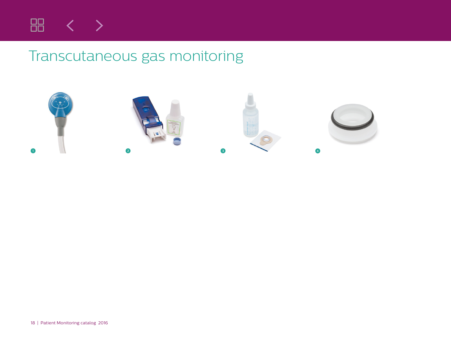

## Transcutaneous gas monitoring